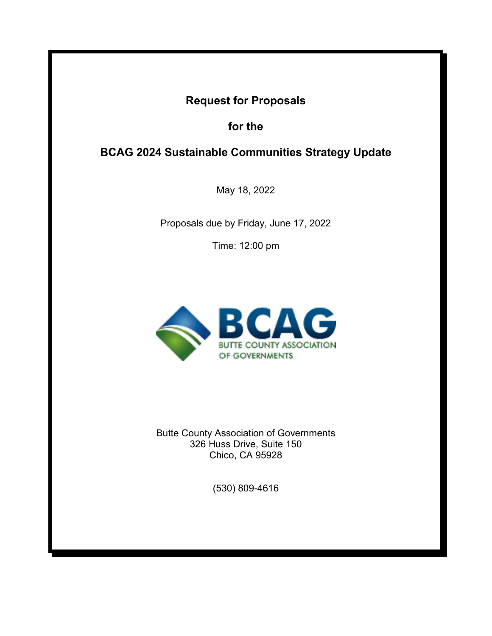# **Request for Proposals**

**for the** 

# **BCAG 2024 Sustainable Communities Strategy Update**

May 18, 2022

Proposals due by Friday, June 17, 2022

Time: 12:00 pm



Butte County Association of Governments 326 Huss Drive, Suite 150 Chico, CA 95928

(530) 809-4616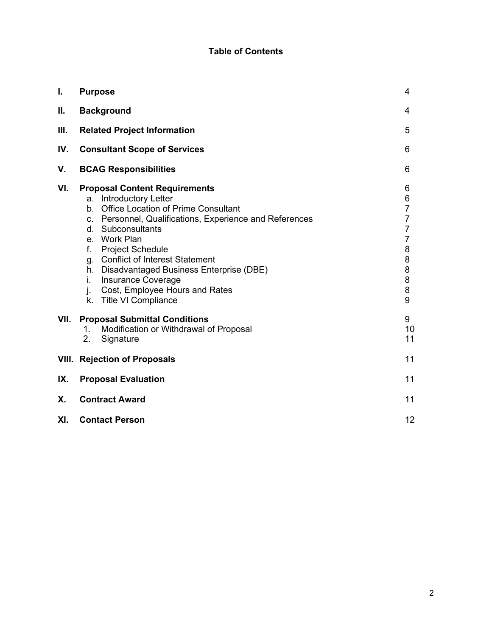## **Table of Contents**

| $\mathbf{I}$ . | <b>Purpose</b>                                                                                                                                                                                                                                                                                                                                                                                                                 | 4                                                                                               |
|----------------|--------------------------------------------------------------------------------------------------------------------------------------------------------------------------------------------------------------------------------------------------------------------------------------------------------------------------------------------------------------------------------------------------------------------------------|-------------------------------------------------------------------------------------------------|
| Ш.             | <b>Background</b>                                                                                                                                                                                                                                                                                                                                                                                                              | 4                                                                                               |
| Ш.             | <b>Related Project Information</b>                                                                                                                                                                                                                                                                                                                                                                                             | 5                                                                                               |
| IV.            | <b>Consultant Scope of Services</b>                                                                                                                                                                                                                                                                                                                                                                                            | 6                                                                                               |
| V.             | <b>BCAG Responsibilities</b>                                                                                                                                                                                                                                                                                                                                                                                                   | 6                                                                                               |
| VI.            | <b>Proposal Content Requirements</b><br>a. Introductory Letter<br>b. Office Location of Prime Consultant<br>c. Personnel, Qualifications, Experience and References<br>d. Subconsultants<br>e. Work Plan<br>f.<br><b>Project Schedule</b><br>g. Conflict of Interest Statement<br>h. Disadvantaged Business Enterprise (DBE)<br><b>Insurance Coverage</b><br>i.<br>j. Cost, Employee Hours and Rates<br>k. Title VI Compliance | 6<br>6<br>$\overline{7}$<br>$\overline{7}$<br>$\overline{7}$<br>7<br>8<br>8<br>8<br>8<br>8<br>9 |
| VII.           | <b>Proposal Submittal Conditions</b><br>Modification or Withdrawal of Proposal<br>1.<br>2.<br>Signature                                                                                                                                                                                                                                                                                                                        | 9<br>10<br>11                                                                                   |
|                | <b>VIII.</b> Rejection of Proposals                                                                                                                                                                                                                                                                                                                                                                                            | 11                                                                                              |
| IX.            | <b>Proposal Evaluation</b>                                                                                                                                                                                                                                                                                                                                                                                                     | 11                                                                                              |
| <b>X.</b>      | <b>Contract Award</b>                                                                                                                                                                                                                                                                                                                                                                                                          | 11                                                                                              |
| XI.            | <b>Contact Person</b>                                                                                                                                                                                                                                                                                                                                                                                                          | 12                                                                                              |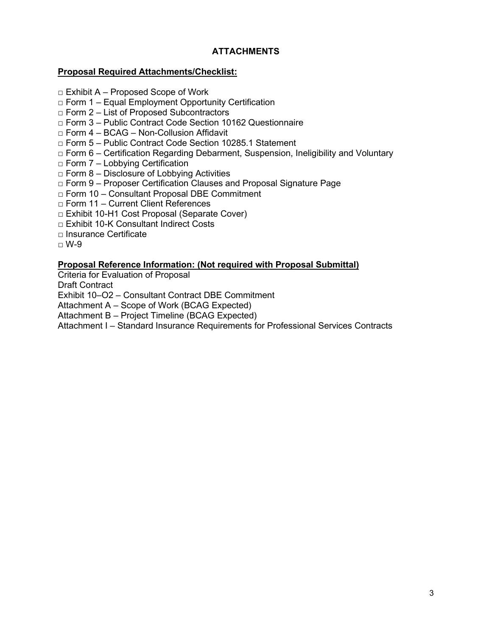## **ATTACHMENTS**

## **Proposal Required Attachments/Checklist:**

- $\Box$  Exhibit A Proposed Scope of Work
- $\Box$  Form 1 Equal Employment Opportunity Certification
- $\Box$  Form 2 List of Proposed Subcontractors
- □ Form 3 Public Contract Code Section 10162 Questionnaire
- □ Form 4 BCAG Non-Collusion Affidavit
- □ Form 5 Public Contract Code Section 10285.1 Statement
- $\Box$  Form 6 Certification Regarding Debarment, Suspension, Ineligibility and Voluntary
- $\Box$  Form 7 Lobbying Certification
- $\Box$  Form 8 Disclosure of Lobbying Activities
- □ Form 9 Proposer Certification Clauses and Proposal Signature Page
- □ Form 10 Consultant Proposal DBE Commitment
- □ Form 11 Current Client References
- □ Exhibit 10-H1 Cost Proposal (Separate Cover)
- □ Exhibit 10-K Consultant Indirect Costs
- □ Insurance Certificate
- $\sqcap$  W-9

## **Proposal Reference Information: (Not required with Proposal Submittal)**

Criteria for Evaluation of Proposal

Draft Contract

Exhibit 10–O2 – Consultant Contract DBE Commitment

Attachment A – Scope of Work (BCAG Expected)

Attachment B – Project Timeline (BCAG Expected)

Attachment I – Standard Insurance Requirements for Professional Services Contracts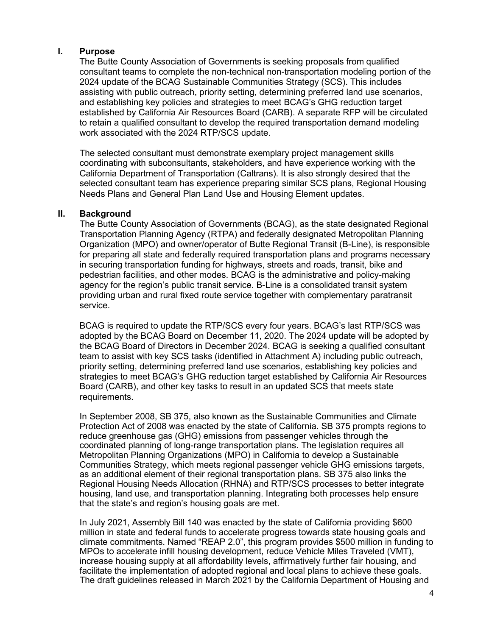### **I. Purpose**

The Butte County Association of Governments is seeking proposals from qualified consultant teams to complete the non-technical non-transportation modeling portion of the 2024 update of the BCAG Sustainable Communities Strategy (SCS). This includes assisting with public outreach, priority setting, determining preferred land use scenarios, and establishing key policies and strategies to meet BCAG's GHG reduction target established by California Air Resources Board (CARB). A separate RFP will be circulated to retain a qualified consultant to develop the required transportation demand modeling work associated with the 2024 RTP/SCS update.

The selected consultant must demonstrate exemplary project management skills coordinating with subconsultants, stakeholders, and have experience working with the California Department of Transportation (Caltrans). It is also strongly desired that the selected consultant team has experience preparing similar SCS plans, Regional Housing Needs Plans and General Plan Land Use and Housing Element updates.

#### **II. Background**

The Butte County Association of Governments (BCAG), as the state designated Regional Transportation Planning Agency (RTPA) and federally designated Metropolitan Planning Organization (MPO) and owner/operator of Butte Regional Transit (B-Line), is responsible for preparing all state and federally required transportation plans and programs necessary in securing transportation funding for highways, streets and roads, transit, bike and pedestrian facilities, and other modes. BCAG is the administrative and policy-making agency for the region's public transit service. B-Line is a consolidated transit system providing urban and rural fixed route service together with complementary paratransit service.

BCAG is required to update the RTP/SCS every four years. BCAG's last RTP/SCS was adopted by the BCAG Board on December 11, 2020. The 2024 update will be adopted by the BCAG Board of Directors in December 2024. BCAG is seeking a qualified consultant team to assist with key SCS tasks (identified in Attachment A) including public outreach, priority setting, determining preferred land use scenarios, establishing key policies and strategies to meet BCAG's GHG reduction target established by California Air Resources Board (CARB), and other key tasks to result in an updated SCS that meets state requirements.

In September 2008, SB 375, also known as the Sustainable Communities and Climate Protection Act of 2008 was enacted by the state of California. SB 375 prompts regions to reduce greenhouse gas (GHG) emissions from passenger vehicles through the coordinated planning of long-range transportation plans. The legislation requires all Metropolitan Planning Organizations (MPO) in California to develop a Sustainable Communities Strategy, which meets regional passenger vehicle GHG emissions targets, as an additional element of their regional transportation plans. SB 375 also links the Regional Housing Needs Allocation (RHNA) and RTP/SCS processes to better integrate housing, land use, and transportation planning. Integrating both processes help ensure that the state's and region's housing goals are met.

In July 2021, Assembly Bill 140 was enacted by the state of California providing \$600 million in state and federal funds to accelerate progress towards state housing goals and climate commitments. Named "REAP 2.0", this program provides \$500 million in funding to MPOs to accelerate infill housing development, reduce Vehicle Miles Traveled (VMT), increase housing supply at all affordability levels, affirmatively further fair housing, and facilitate the implementation of adopted regional and local plans to achieve these goals. The draft guidelines released in March 2021 by the California Department of Housing and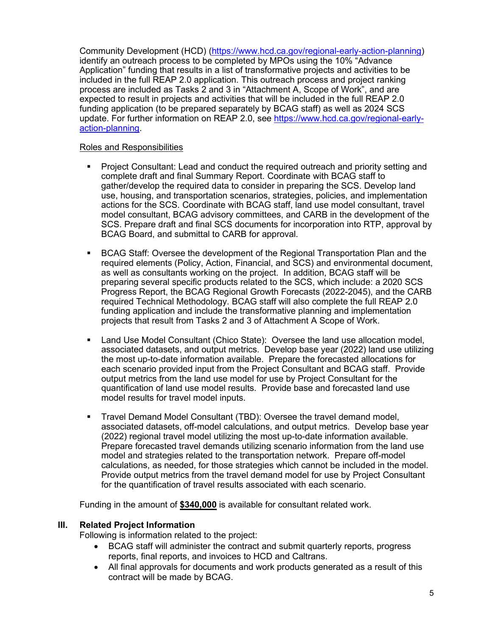Community Development (HCD) [\(https://www.hcd.ca.gov/regional-early-action-planning\)](https://www.hcd.ca.gov/regional-early-action-planning) identify an outreach process to be completed by MPOs using the 10% "Advance Application" funding that results in a list of transformative projects and activities to be included in the full REAP 2.0 application. This outreach process and project ranking process are included as Tasks 2 and 3 in "Attachment A, Scope of Work", and are expected to result in projects and activities that will be included in the full REAP 2.0 funding application (to be prepared separately by BCAG staff) as well as 2024 SCS update. For further information on REAP 2.0, see [https://www.hcd.ca.gov/regional-early](https://www.hcd.ca.gov/regional-early-action-planning)[action-planning.](https://www.hcd.ca.gov/regional-early-action-planning)

### Roles and Responsibilities

- **Project Consultant: Lead and conduct the required outreach and priority setting and** complete draft and final Summary Report. Coordinate with BCAG staff to gather/develop the required data to consider in preparing the SCS. Develop land use, housing, and transportation scenarios, strategies, policies, and implementation actions for the SCS. Coordinate with BCAG staff, land use model consultant, travel model consultant, BCAG advisory committees, and CARB in the development of the SCS. Prepare draft and final SCS documents for incorporation into RTP, approval by BCAG Board, and submittal to CARB for approval.
- BCAG Staff: Oversee the development of the Regional Transportation Plan and the required elements (Policy, Action, Financial, and SCS) and environmental document, as well as consultants working on the project. In addition, BCAG staff will be preparing several specific products related to the SCS, which include: a 2020 SCS Progress Report, the BCAG Regional Growth Forecasts (2022-2045), and the CARB required Technical Methodology. BCAG staff will also complete the full REAP 2.0 funding application and include the transformative planning and implementation projects that result from Tasks 2 and 3 of Attachment A Scope of Work.
- Land Use Model Consultant (Chico State): Oversee the land use allocation model, associated datasets, and output metrics. Develop base year (2022) land use utilizing the most up-to-date information available. Prepare the forecasted allocations for each scenario provided input from the Project Consultant and BCAG staff. Provide output metrics from the land use model for use by Project Consultant for the quantification of land use model results. Provide base and forecasted land use model results for travel model inputs.
- Travel Demand Model Consultant (TBD): Oversee the travel demand model, associated datasets, off-model calculations, and output metrics. Develop base year (2022) regional travel model utilizing the most up-to-date information available. Prepare forecasted travel demands utilizing scenario information from the land use model and strategies related to the transportation network. Prepare off-model calculations, as needed, for those strategies which cannot be included in the model. Provide output metrics from the travel demand model for use by Project Consultant for the quantification of travel results associated with each scenario.

Funding in the amount of **\$340,000** is available for consultant related work.

## **III. Related Project Information**

Following is information related to the project:

- BCAG staff will administer the contract and submit quarterly reports, progress reports, final reports, and invoices to HCD and Caltrans.
- All final approvals for documents and work products generated as a result of this contract will be made by BCAG.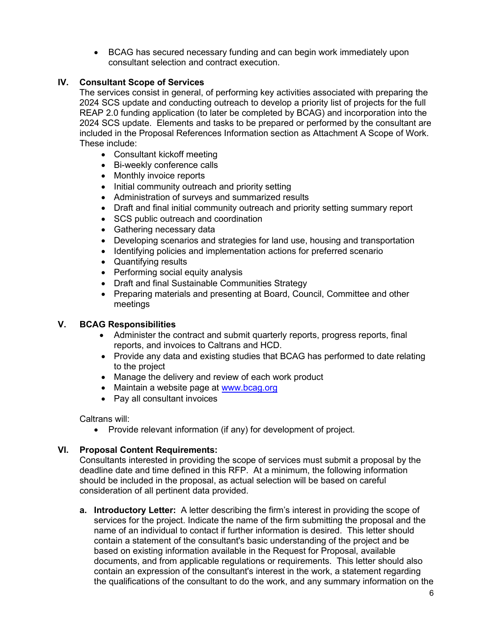• BCAG has secured necessary funding and can begin work immediately upon consultant selection and contract execution.

## **IV. Consultant Scope of Services**

The services consist in general, of performing key activities associated with preparing the 2024 SCS update and conducting outreach to develop a priority list of projects for the full REAP 2.0 funding application (to later be completed by BCAG) and incorporation into the 2024 SCS update. Elements and tasks to be prepared or performed by the consultant are included in the Proposal References Information section as Attachment A Scope of Work. These include:

- Consultant kickoff meeting
- Bi-weekly conference calls
- Monthly invoice reports
- Initial community outreach and priority setting
- Administration of surveys and summarized results
- Draft and final initial community outreach and priority setting summary report
- SCS public outreach and coordination
- Gathering necessary data
- Developing scenarios and strategies for land use, housing and transportation
- Identifying policies and implementation actions for preferred scenario
- Quantifying results
- Performing social equity analysis
- Draft and final Sustainable Communities Strategy
- Preparing materials and presenting at Board, Council, Committee and other meetings

## **V. BCAG Responsibilities**

- Administer the contract and submit quarterly reports, progress reports, final reports, and invoices to Caltrans and HCD.
- Provide any data and existing studies that BCAG has performed to date relating to the project
- Manage the delivery and review of each work product
- Maintain a website page at [www.bcag.org](http://www.bcag.org/)
- Pay all consultant invoices

Caltrans will:

• Provide relevant information (if any) for development of project.

## **VI. Proposal Content Requirements:**

Consultants interested in providing the scope of services must submit a proposal by the deadline date and time defined in this RFP. At a minimum, the following information should be included in the proposal, as actual selection will be based on careful consideration of all pertinent data provided.

**a. Introductory Letter:** A letter describing the firm's interest in providing the scope of services for the project. Indicate the name of the firm submitting the proposal and the name of an individual to contact if further information is desired. This letter should contain a statement of the consultant's basic understanding of the project and be based on existing information available in the Request for Proposal, available documents, and from applicable regulations or requirements. This letter should also contain an expression of the consultant's interest in the work, a statement regarding the qualifications of the consultant to do the work, and any summary information on the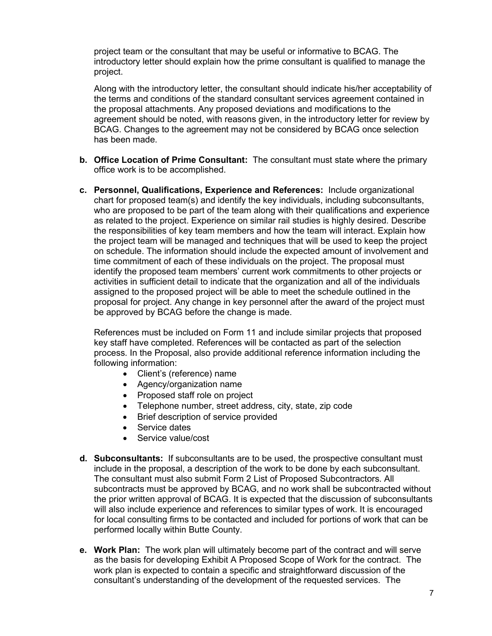project team or the consultant that may be useful or informative to BCAG. The introductory letter should explain how the prime consultant is qualified to manage the project.

Along with the introductory letter, the consultant should indicate his/her acceptability of the terms and conditions of the standard consultant services agreement contained in the proposal attachments. Any proposed deviations and modifications to the agreement should be noted, with reasons given, in the introductory letter for review by BCAG. Changes to the agreement may not be considered by BCAG once selection has been made.

- **b. Office Location of Prime Consultant:** The consultant must state where the primary office work is to be accomplished.
- **c. Personnel, Qualifications, Experience and References:** Include organizational chart for proposed team(s) and identify the key individuals, including subconsultants, who are proposed to be part of the team along with their qualifications and experience as related to the project. Experience on similar rail studies is highly desired. Describe the responsibilities of key team members and how the team will interact. Explain how the project team will be managed and techniques that will be used to keep the project on schedule. The information should include the expected amount of involvement and time commitment of each of these individuals on the project. The proposal must identify the proposed team members' current work commitments to other projects or activities in sufficient detail to indicate that the organization and all of the individuals assigned to the proposed project will be able to meet the schedule outlined in the proposal for project. Any change in key personnel after the award of the project must be approved by BCAG before the change is made.

References must be included on Form 11 and include similar projects that proposed key staff have completed. References will be contacted as part of the selection process. In the Proposal, also provide additional reference information including the following information:

- Client's (reference) name
- Agency/organization name
- Proposed staff role on project
- Telephone number, street address, city, state, zip code
- Brief description of service provided
- Service dates
- Service value/cost
- **d. Subconsultants:** If subconsultants are to be used, the prospective consultant must include in the proposal, a description of the work to be done by each subconsultant. The consultant must also submit Form 2 List of Proposed Subcontractors. All subcontracts must be approved by BCAG, and no work shall be subcontracted without the prior written approval of BCAG. It is expected that the discussion of subconsultants will also include experience and references to similar types of work. It is encouraged for local consulting firms to be contacted and included for portions of work that can be performed locally within Butte County.
- **e. Work Plan:** The work plan will ultimately become part of the contract and will serve as the basis for developing Exhibit A Proposed Scope of Work for the contract. The work plan is expected to contain a specific and straightforward discussion of the consultant's understanding of the development of the requested services. The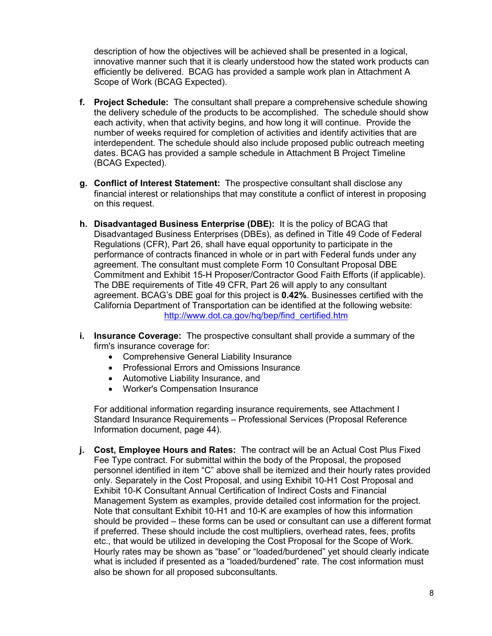description of how the objectives will be achieved shall be presented in a logical, innovative manner such that it is clearly understood how the stated work products can efficiently be delivered. BCAG has provided a sample work plan in Attachment A Scope of Work (BCAG Expected).

- **f. Project Schedule:** The consultant shall prepare a comprehensive schedule showing the delivery schedule of the products to be accomplished. The schedule should show each activity, when that activity begins, and how long it will continue. Provide the number of weeks required for completion of activities and identify activities that are interdependent. The schedule should also include proposed public outreach meeting dates. BCAG has provided a sample schedule in Attachment B Project Timeline (BCAG Expected).
- **g. Conflict of Interest Statement:** The prospective consultant shall disclose any financial interest or relationships that may constitute a conflict of interest in proposing on this request.
- **h. Disadvantaged Business Enterprise (DBE):** It is the policy of BCAG that Disadvantaged Business Enterprises (DBEs), as defined in Title 49 Code of Federal Regulations (CFR), Part 26, shall have equal opportunity to participate in the performance of contracts financed in whole or in part with Federal funds under any agreement. The consultant must complete Form 10 Consultant Proposal DBE Commitment and Exhibit 15-H Proposer/Contractor Good Faith Efforts (if applicable). The DBE requirements of Title 49 CFR, Part 26 will apply to any consultant agreement. BCAG's DBE goal for this project is **0.42%**. Businesses certified with the California Department of Transportation can be identified at the following website: [http://www.dot.ca.gov/hq/bep/find\\_certified.htm](http://www.dot.ca.gov/hq/bep/find_certified.htm)
- **i. Insurance Coverage:** The prospective consultant shall provide a summary of the firm's insurance coverage for:
	- Comprehensive General Liability Insurance
	- Professional Errors and Omissions Insurance
	- Automotive Liability Insurance, and
	- Worker's Compensation Insurance

For additional information regarding insurance requirements, see Attachment I Standard Insurance Requirements – Professional Services (Proposal Reference Information document, page 44).

**j. Cost, Employee Hours and Rates:** The contract will be an Actual Cost Plus Fixed Fee Type contract. For submittal within the body of the Proposal, the proposed personnel identified in item "C" above shall be itemized and their hourly rates provided only. Separately in the Cost Proposal, and using Exhibit 10-H1 Cost Proposal and Exhibit 10-K Consultant Annual Certification of Indirect Costs and Financial Management System as examples, provide detailed cost information for the project. Note that consultant Exhibit 10-H1 and 10-K are examples of how this information should be provided – these forms can be used or consultant can use a different format if preferred. These should include the cost multipliers, overhead rates, fees, profits etc., that would be utilized in developing the Cost Proposal for the Scope of Work. Hourly rates may be shown as "base" or "loaded/burdened" yet should clearly indicate what is included if presented as a "loaded/burdened" rate. The cost information must also be shown for all proposed subconsultants.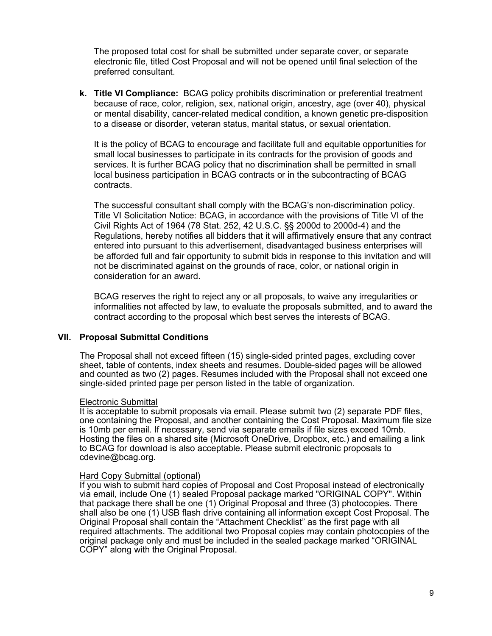The proposed total cost for shall be submitted under separate cover, or separate electronic file, titled Cost Proposal and will not be opened until final selection of the preferred consultant.

**k. Title VI Compliance:** BCAG policy prohibits discrimination or preferential treatment because of race, color, religion, sex, national origin, ancestry, age (over 40), physical or mental disability, cancer-related medical condition, a known genetic pre-disposition to a disease or disorder, veteran status, marital status, or sexual orientation.

It is the policy of BCAG to encourage and facilitate full and equitable opportunities for small local businesses to participate in its contracts for the provision of goods and services. It is further BCAG policy that no discrimination shall be permitted in small local business participation in BCAG contracts or in the subcontracting of BCAG contracts.

The successful consultant shall comply with the BCAG's non-discrimination policy. Title VI Solicitation Notice: BCAG, in accordance with the provisions of Title VI of the Civil Rights Act of 1964 (78 Stat. 252, 42 U.S.C. §§ 2000d to 2000d-4) and the Regulations, hereby notifies all bidders that it will affirmatively ensure that any contract entered into pursuant to this advertisement, disadvantaged business enterprises will be afforded full and fair opportunity to submit bids in response to this invitation and will not be discriminated against on the grounds of race, color, or national origin in consideration for an award.

BCAG reserves the right to reject any or all proposals, to waive any irregularities or informalities not affected by law, to evaluate the proposals submitted, and to award the contract according to the proposal which best serves the interests of BCAG.

## **VII. Proposal Submittal Conditions**

The Proposal shall not exceed fifteen (15) single-sided printed pages, excluding cover sheet, table of contents, index sheets and resumes. Double-sided pages will be allowed and counted as two (2) pages. Resumes included with the Proposal shall not exceed one single-sided printed page per person listed in the table of organization.

#### Electronic Submittal

It is acceptable to submit proposals via email. Please submit two (2) separate PDF files, one containing the Proposal, and another containing the Cost Proposal. Maximum file size is 10mb per email. If necessary, send via separate emails if file sizes exceed 10mb. Hosting the files on a shared site (Microsoft OneDrive, Dropbox, etc.) and emailing a link to BCAG for download is also acceptable. Please submit electronic proposals to cdevine@bcag.org.

#### Hard Copy Submittal (optional)

If you wish to submit hard copies of Proposal and Cost Proposal instead of electronically via email, include One (1) sealed Proposal package marked "ORIGINAL COPY". Within that package there shall be one (1) Original Proposal and three (3) photocopies. There shall also be one (1) USB flash drive containing all information except Cost Proposal. The Original Proposal shall contain the "Attachment Checklist" as the first page with all required attachments. The additional two Proposal copies may contain photocopies of the original package only and must be included in the sealed package marked "ORIGINAL COPY" along with the Original Proposal.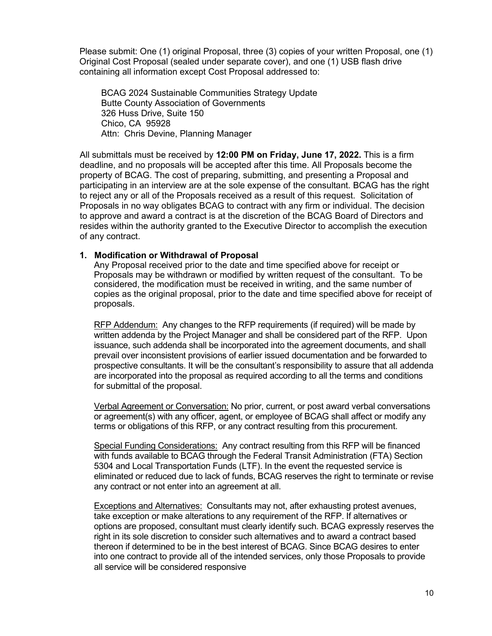Please submit: One (1) original Proposal, three (3) copies of your written Proposal, one (1) Original Cost Proposal (sealed under separate cover), and one (1) USB flash drive containing all information except Cost Proposal addressed to:

BCAG 2024 Sustainable Communities Strategy Update Butte County Association of Governments 326 Huss Drive, Suite 150 Chico, CA 95928 Attn: Chris Devine, Planning Manager

All submittals must be received by **12:00 PM on Friday, June 17, 2022.** This is a firm deadline, and no proposals will be accepted after this time. All Proposals become the property of BCAG. The cost of preparing, submitting, and presenting a Proposal and participating in an interview are at the sole expense of the consultant. BCAG has the right to reject any or all of the Proposals received as a result of this request. Solicitation of Proposals in no way obligates BCAG to contract with any firm or individual. The decision to approve and award a contract is at the discretion of the BCAG Board of Directors and resides within the authority granted to the Executive Director to accomplish the execution of any contract.

#### **1. Modification or Withdrawal of Proposal**

Any Proposal received prior to the date and time specified above for receipt or Proposals may be withdrawn or modified by written request of the consultant. To be considered, the modification must be received in writing, and the same number of copies as the original proposal, prior to the date and time specified above for receipt of proposals.

RFP Addendum: Any changes to the RFP requirements (if required) will be made by written addenda by the Project Manager and shall be considered part of the RFP. Upon issuance, such addenda shall be incorporated into the agreement documents, and shall prevail over inconsistent provisions of earlier issued documentation and be forwarded to prospective consultants. It will be the consultant's responsibility to assure that all addenda are incorporated into the proposal as required according to all the terms and conditions for submittal of the proposal.

Verbal Agreement or Conversation: No prior, current, or post award verbal conversations or agreement(s) with any officer, agent, or employee of BCAG shall affect or modify any terms or obligations of this RFP, or any contract resulting from this procurement.

Special Funding Considerations: Any contract resulting from this RFP will be financed with funds available to BCAG through the Federal Transit Administration (FTA) Section 5304 and Local Transportation Funds (LTF). In the event the requested service is eliminated or reduced due to lack of funds, BCAG reserves the right to terminate or revise any contract or not enter into an agreement at all.

Exceptions and Alternatives: Consultants may not, after exhausting protest avenues, take exception or make alterations to any requirement of the RFP. If alternatives or options are proposed, consultant must clearly identify such. BCAG expressly reserves the right in its sole discretion to consider such alternatives and to award a contract based thereon if determined to be in the best interest of BCAG. Since BCAG desires to enter into one contract to provide all of the intended services, only those Proposals to provide all service will be considered responsive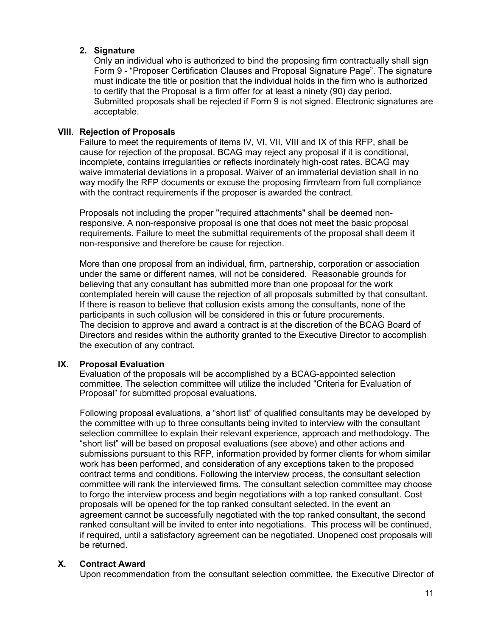## **2. Signature**

Only an individual who is authorized to bind the proposing firm contractually shall sign Form 9 - "Proposer Certification Clauses and Proposal Signature Page". The signature must indicate the title or position that the individual holds in the firm who is authorized to certify that the Proposal is a firm offer for at least a ninety (90) day period. Submitted proposals shall be rejected if Form 9 is not signed. Electronic signatures are acceptable.

## **VIII. Rejection of Proposals**

Failure to meet the requirements of items IV, VI, VII, VIII and IX of this RFP, shall be cause for rejection of the proposal. BCAG may reject any proposal if it is conditional, incomplete, contains irregularities or reflects inordinately high-cost rates. BCAG may waive immaterial deviations in a proposal. Waiver of an immaterial deviation shall in no way modify the RFP documents or excuse the proposing firm/team from full compliance with the contract requirements if the proposer is awarded the contract.

Proposals not including the proper "required attachments" shall be deemed nonresponsive. A non-responsive proposal is one that does not meet the basic proposal requirements. Failure to meet the submittal requirements of the proposal shall deem it non-responsive and therefore be cause for rejection.

More than one proposal from an individual, firm, partnership, corporation or association under the same or different names, will not be considered. Reasonable grounds for believing that any consultant has submitted more than one proposal for the work contemplated herein will cause the rejection of all proposals submitted by that consultant. If there is reason to believe that collusion exists among the consultants, none of the participants in such collusion will be considered in this or future procurements. The decision to approve and award a contract is at the discretion of the BCAG Board of Directors and resides within the authority granted to the Executive Director to accomplish the execution of any contract.

## **IX. Proposal Evaluation**

Evaluation of the proposals will be accomplished by a BCAG-appointed selection committee. The selection committee will utilize the included "Criteria for Evaluation of Proposal" for submitted proposal evaluations.

Following proposal evaluations, a "short list" of qualified consultants may be developed by the committee with up to three consultants being invited to interview with the consultant selection committee to explain their relevant experience, approach and methodology. The "short list" will be based on proposal evaluations (see above) and other actions and submissions pursuant to this RFP, information provided by former clients for whom similar work has been performed, and consideration of any exceptions taken to the proposed contract terms and conditions. Following the interview process, the consultant selection committee will rank the interviewed firms. The consultant selection committee may choose to forgo the interview process and begin negotiations with a top ranked consultant. Cost proposals will be opened for the top ranked consultant selected. In the event an agreement cannot be successfully negotiated with the top ranked consultant, the second ranked consultant will be invited to enter into negotiations. This process will be continued, if required, until a satisfactory agreement can be negotiated. Unopened cost proposals will be returned.

## **X. Contract Award**

Upon recommendation from the consultant selection committee, the Executive Director of